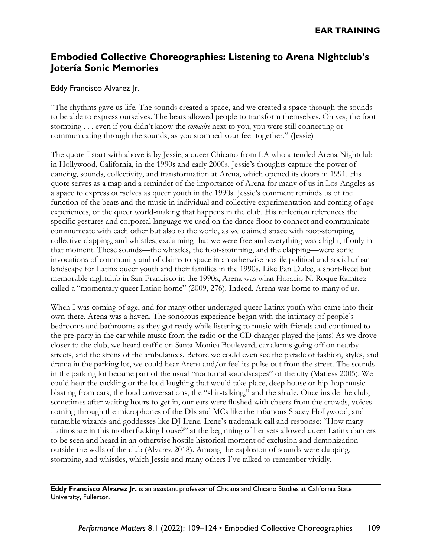# **Embodied Collective Choreographies: Listening to Arena Nightclub's Jotería Sonic Memories**

### Eddy Francisco Alvarez Jr.

"The rhythms gave us life. The sounds created a space, and we created a space through the sounds to be able to express ourselves. The beats allowed people to transform themselves. Oh yes, the foot stomping . . . even if you didn't know the *comadre* next to you, you were still connecting or communicating through the sounds, as you stomped your feet together." (Jessie)

The quote I start with above is by Jessie, a queer Chicano from LA who attended Arena Nightclub in Hollywood, California, in the 1990s and early 2000s. Jessie's thoughts capture the power of dancing, sounds, collectivity, and transformation at Arena, which opened its doors in 1991. His quote serves as a map and a reminder of the importance of Arena for many of us in Los Angeles as a space to express ourselves as queer youth in the 1990s. Jessie's comment reminds us of the function of the beats and the music in individual and collective experimentation and coming of age experiences, of the queer world-making that happens in the club. His reflection references the specific gestures and corporeal language we used on the dance floor to connect and communicate communicate with each other but also to the world, as we claimed space with foot-stomping, collective clapping, and whistles, exclaiming that we were free and everything was alright, if only in that moment. These sounds—the whistles, the foot-stomping, and the clapping—were sonic invocations of community and of claims to space in an otherwise hostile political and social urban landscape for Latinx queer youth and their families in the 1990s. Like Pan Dulce, a short-lived but memorable nightclub in San Francisco in the 1990s, Arena was what Horacio N. Roque Ramírez called a "momentary queer Latino home" (2009, 276). Indeed, Arena was home to many of us.

When I was coming of age, and for many other underaged queer Latinx youth who came into their own there, Arena was a haven. The sonorous experience began with the intimacy of people's bedrooms and bathrooms as they got ready while listening to music with friends and continued to the pre-party in the car while music from the radio or the CD changer played the jams! As we drove closer to the club, we heard traffic on Santa Monica Boulevard, car alarms going off on nearby streets, and the sirens of the ambulances. Before we could even see the parade of fashion, styles, and drama in the parking lot, we could hear Arena and/or feel its pulse out from the street. The sounds in the parking lot became part of the usual "nocturnal soundscapes" of the city (Matless 2005). We could hear the cackling or the loud laughing that would take place, deep house or hip-hop music blasting from cars, the loud conversations, the "shit-talking," and the shade. Once inside the club, sometimes after waiting hours to get in, our ears were flushed with cheers from the crowds, voices coming through the microphones of the DJs and MCs like the infamous Stacey Hollywood, and turntable wizards and goddesses like DJ Irene. Irene's trademark call and response: "How many Latinos are in this motherfucking house?" at the beginning of her sets allowed queer Latinx dancers to be seen and heard in an otherwise hostile historical moment of exclusion and demonization outside the walls of the club (Alvarez 2018). Among the explosion of sounds were clapping, stomping, and whistles, which Jessie and many others I've talked to remember vividly.

**Eddy Francisco Alvarez Jr.** is an assistant professor of Chicana and Chicano Studies at California State University, Fullerton.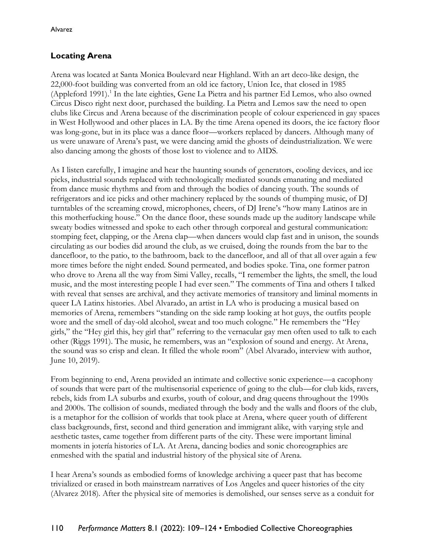### **Locating Arena**

Arena was located at Santa Monica Boulevard near Highland. With an art deco-like design, the 22,000-foot building was converted from an old ice factory, Union Ice, that closed in 1985 (Appleford 1991). 1 In the late eighties, Gene La Pietra and his partner Ed Lemos, who also owned Circus Disco right next door, purchased the building. La Pietra and Lemos saw the need to open clubs like Circus and Arena because of the discrimination people of colour experienced in gay spaces in West Hollywood and other places in LA. By the time Arena opened its doors, the ice factory floor was long-gone, but in its place was a dance floor—workers replaced by dancers. Although many of us were unaware of Arena's past, we were dancing amid the ghosts of deindustrialization. We were also dancing among the ghosts of those lost to violence and to AIDS.

As I listen carefully, I imagine and hear the haunting sounds of generators, cooling devices, and ice picks, industrial sounds replaced with technologically mediated sounds emanating and mediated from dance music rhythms and from and through the bodies of dancing youth. The sounds of refrigerators and ice picks and other machinery replaced by the sounds of thumping music, of DJ turntables of the screaming crowd, microphones, cheers, of DJ Irene's "how many Latinos are in this motherfucking house." On the dance floor, these sounds made up the auditory landscape while sweaty bodies witnessed and spoke to each other through corporeal and gestural communication: stomping feet, clapping, or the Arena clap—when dancers would clap fast and in unison, the sounds circulating as our bodies did around the club, as we cruised, doing the rounds from the bar to the dancefloor, to the patio, to the bathroom, back to the dancefloor, and all of that all over again a few more times before the night ended. Sound permeated, and bodies spoke. Tina, one former patron who drove to Arena all the way from Simi Valley, recalls, "I remember the lights, the smell, the loud music, and the most interesting people I had ever seen." The comments of Tina and others I talked with reveal that senses are archival, and they activate memories of transitory and liminal moments in queer LA Latinx histories. Abel Alvarado, an artist in LA who is producing a musical based on memories of Arena, remembers "standing on the side ramp looking at hot guys, the outfits people wore and the smell of day-old alcohol, sweat and too much cologne." He remembers the "Hey girls," the "Hey girl this, hey girl that" referring to the vernacular gay men often used to talk to each other (Riggs 1991). The music, he remembers, was an "explosion of sound and energy. At Arena, the sound was so crisp and clean. It filled the whole room" (Abel Alvarado, interview with author, June 10, 2019).

From beginning to end, Arena provided an intimate and collective sonic experience—a cacophony of sounds that were part of the multisensorial experience of going to the club—for club kids, ravers, rebels, kids from LA suburbs and exurbs, youth of colour, and drag queens throughout the 1990s and 2000s. The collision of sounds, mediated through the body and the walls and floors of the club, is a metaphor for the collision of worlds that took place at Arena, where queer youth of different class backgrounds, first, second and third generation and immigrant alike, with varying style and aesthetic tastes, came together from different parts of the city. These were important liminal moments in jotería histories of LA. At Arena, dancing bodies and sonic choreographies are enmeshed with the spatial and industrial history of the physical site of Arena.

I hear Arena's sounds as embodied forms of knowledge archiving a queer past that has become trivialized or erased in both mainstream narratives of Los Angeles and queer histories of the city (Alvarez 2018). After the physical site of memories is demolished, our senses serve as a conduit for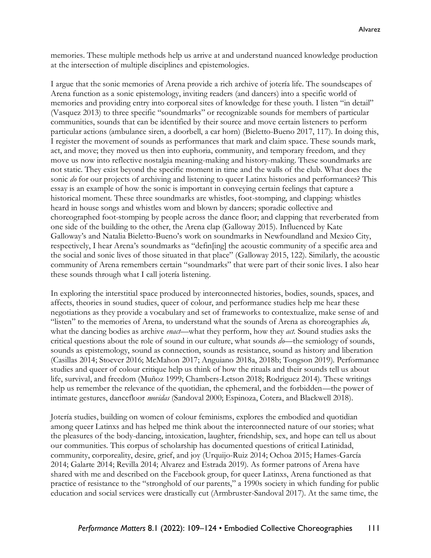memories. These multiple methods help us arrive at and understand nuanced knowledge production at the intersection of multiple disciplines and epistemologies.

I argue that the sonic memories of Arena provide a rich archive of jotería life. The soundscapes of Arena function as a sonic epistemology, inviting readers (and dancers) into a specific world of memories and providing entry into corporeal sites of knowledge for these youth. I listen "in detail" (Vasquez 2013) to three specific "soundmarks" or recognizable sounds for members of particular communities, sounds that can be identified by their source and move certain listeners to perform particular actions (ambulance siren, a doorbell, a car horn) (Bieletto-Bueno 2017, 117). In doing this, I register the movement of sounds as performances that mark and claim space. These sounds mark, act, and move; they moved us then into euphoria, community, and temporary freedom, and they move us now into reflective nostalgia meaning-making and history-making. These soundmarks are not static. They exist beyond the specific moment in time and the walls of the club. What does the sonic *do* for our projects of archiving and listening to queer Latinx histories and performances? This essay is an example of how the sonic is important in conveying certain feelings that capture a historical moment. These three soundmarks are whistles, foot-stomping, and clapping: whistles heard in house songs and whistles worn and blown by dancers; sporadic collective and choreographed foot-stomping by people across the dance floor; and clapping that reverberated from one side of the building to the other, the Arena clap (Galloway 2015). Influenced by Kate Galloway's and Natalia Bieletto-Bueno's work on soundmarks in Newfoundland and Mexico City, respectively, I hear Arena's soundmarks as "defin[ing] the acoustic community of a specific area and the social and sonic lives of those situated in that place" (Galloway 2015, 122). Similarly, the acoustic community of Arena remembers certain "soundmarks" that were part of their sonic lives. I also hear these sounds through what I call jotería listening.

In exploring the interstitial space produced by interconnected histories, bodies, sounds, spaces, and affects, theories in sound studies, queer of colour, and performance studies help me hear these negotiations as they provide a vocabulary and set of frameworks to contextualize, make sense of and "listen" to the memories of Arena, to understand what the sounds of Arena as choreographies *do*, what the dancing bodies as archive *enact*—what they perform, how they *act.* Sound studies asks the critical questions about the role of sound in our culture, what sounds *do*—the semiology of sounds, sounds as epistemology, sound as connection, sounds as resistance, sound as history and liberation (Casillas 2014; Stoever 2016; McMahon 2017; Anguiano 2018a, 2018b; Tongson 2019). Performance studies and queer of colour critique help us think of how the rituals and their sounds tell us about life, survival, and freedom (Muñoz 1999; Chambers-Letson 2018; Rodriguez 2014). These writings help us remember the relevance of the quotidian, the ephemeral, and the forbidden—the power of intimate gestures, dancefloor *movidas* (Sandoval 2000; Espinoza, Cotera, and Blackwell 2018).

Jotería studies, building on women of colour feminisms, explores the embodied and quotidian among queer Latinxs and has helped me think about the interconnected nature of our stories; what the pleasures of the body-dancing, intoxication, laughter, friendship, sex, and hope can tell us about our communities. This corpus of scholarship has documented questions of critical Latinidad, community, corporeality, desire, grief, and joy (Urquijo-Ruiz 2014; Ochoa 2015; Hames-García 2014; Galarte 2014; Revilla 2014; Alvarez and Estrada 2019). As former patrons of Arena have shared with me and described on the Facebook group, for queer Latinxs, Arena functioned as that practice of resistance to the "stronghold of our parents," a 1990s society in which funding for public education and social services were drastically cut (Armbruster-Sandoval 2017). At the same time, the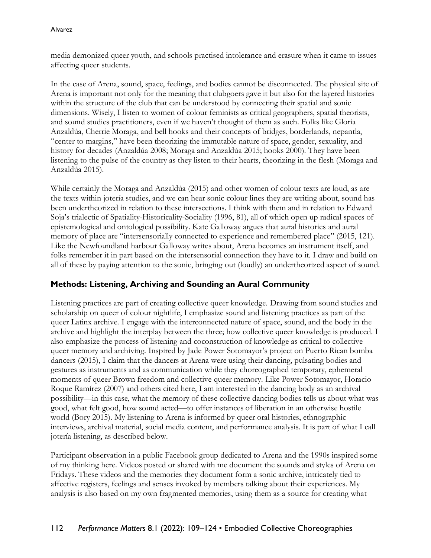media demonized queer youth, and schools practised intolerance and erasure when it came to issues affecting queer students.

In the case of Arena, sound, space, feelings, and bodies cannot be disconnected. The physical site of Arena is important not only for the meaning that clubgoers gave it but also for the layered histories within the structure of the club that can be understood by connecting their spatial and sonic dimensions. Wisely, I listen to women of colour feminists as critical geographers, spatial theorists, and sound studies practitioners, even if we haven't thought of them as such. Folks like Gloria Anzaldúa, Cherrie Moraga, and bell hooks and their concepts of bridges, borderlands, nepantla, "center to margins," have been theorizing the immutable nature of space, gender, sexuality, and history for decades (Anzaldúa 2008; Moraga and Anzaldúa 2015; hooks 2000). They have been listening to the pulse of the country as they listen to their hearts, theorizing in the flesh (Moraga and Anzaldúa 2015).

While certainly the Moraga and Anzaldúa (2015) and other women of colour texts are loud, as are the texts within jotería studies, and we can hear sonic colour lines they are writing about, sound has been undertheorized in relation to these intersections. I think with them and in relation to Edward Soja's trialectic of Spatiality-Historicality-Sociality (1996, 81), all of which open up radical spaces of epistemological and ontological possibility. Kate Galloway argues that aural histories and aural memory of place are "intersensorially connected to experience and remembered place" (2015, 121). Like the Newfoundland harbour Galloway writes about, Arena becomes an instrument itself, and folks remember it in part based on the intersensorial connection they have to it. I draw and build on all of these by paying attention to the sonic, bringing out (loudly) an undertheorized aspect of sound.

## **Methods: Listening, Archiving and Sounding an Aural Community**

Listening practices are part of creating collective queer knowledge. Drawing from sound studies and scholarship on queer of colour nightlife, I emphasize sound and listening practices as part of the queer Latinx archive. I engage with the interconnected nature of space, sound, and the body in the archive and highlight the interplay between the three; how collective queer knowledge is produced. I also emphasize the process of listening and coconstruction of knowledge as critical to collective queer memory and archiving. Inspired by Jade Power Sotomayor's project on Puerto Rican bomba dancers (2015), I claim that the dancers at Arena were using their dancing, pulsating bodies and gestures as instruments and as communication while they choreographed temporary, ephemeral moments of queer Brown freedom and collective queer memory. Like Power Sotomayor, Horacio Roque Ramírez (2007) and others cited here, I am interested in the dancing body as an archival possibility—in this case, what the memory of these collective dancing bodies tells us about what was good, what felt good, how sound acted—to offer instances of liberation in an otherwise hostile world (Bory 2015). My listening to Arena is informed by queer oral histories, ethnographic interviews, archival material, social media content, and performance analysis. It is part of what I call jotería listening, as described below.

Participant observation in a public Facebook group dedicated to Arena and the 1990s inspired some of my thinking here. Videos posted or shared with me document the sounds and styles of Arena on Fridays. These videos and the memories they document form a sonic archive, intricately tied to affective registers, feelings and senses invoked by members talking about their experiences. My analysis is also based on my own fragmented memories, using them as a source for creating what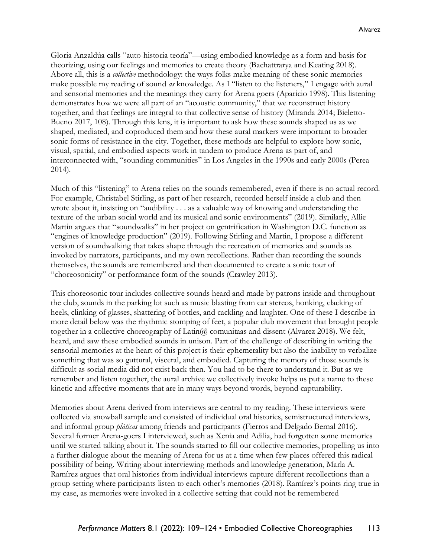Gloria Anzaldúa calls "auto-historia teoría"—using embodied knowledge as a form and basis for theorizing, using our feelings and memories to create theory (Bachattrarya and Keating 2018). Above all, this is a *collective* methodology: the ways folks make meaning of these sonic memories make possible my reading of sound *as* knowledge. As I "listen to the listeners," I engage with aural and sensorial memories and the meanings they carry for Arena goers (Aparicio 1998). This listening demonstrates how we were all part of an "acoustic community," that we reconstruct history together, and that feelings are integral to that collective sense of history (Miranda 2014; Bieletto-Bueno 2017, 108). Through this lens, it is important to ask how these sounds shaped us as we shaped, mediated, and coproduced them and how these aural markers were important to broader sonic forms of resistance in the city. Together, these methods are helpful to explore how sonic, visual, spatial, and embodied aspects work in tandem to produce Arena as part of, and interconnected with, "sounding communities" in Los Angeles in the 1990s and early 2000s (Perea 2014).

Much of this "listening" to Arena relies on the sounds remembered, even if there is no actual record. For example, Christabel Stirling, as part of her research, recorded herself inside a club and then wrote about it, insisting on "audibility . . . as a valuable way of knowing and understanding the texture of the urban social world and its musical and sonic environments" (2019). Similarly, Allie Martin argues that "soundwalks" in her project on gentrification in Washington D.C. function as "engines of knowledge production" (2019). Following Stirling and Martin, I propose a different version of soundwalking that takes shape through the recreation of memories and sounds as invoked by narrators, participants, and my own recollections. Rather than recording the sounds themselves, the sounds are remembered and then documented to create a sonic tour of "choreosonicity" or performance form of the sounds (Crawley 2013).

This choreosonic tour includes collective sounds heard and made by patrons inside and throughout the club, sounds in the parking lot such as music blasting from car stereos, honking, clacking of heels, clinking of glasses, shattering of bottles, and cackling and laughter. One of these I describe in more detail below was the rhythmic stomping of feet, a popular club movement that brought people together in a collective choreography of Latin@ comunitaas and dissent (Alvarez 2018). We felt, heard, and saw these embodied sounds in unison. Part of the challenge of describing in writing the sensorial memories at the heart of this project is their ephemerality but also the inability to verbalize something that was so guttural, visceral, and embodied. Capturing the memory of those sounds is difficult as social media did not exist back then. You had to be there to understand it. But as we remember and listen together, the aural archive we collectively invoke helps us put a name to these kinetic and affective moments that are in many ways beyond words, beyond capturability.

Memories about Arena derived from interviews are central to my reading. These interviews were collected via snowball sample and consisted of individual oral histories, semistructured interviews, and informal group *pláticas* among friends and participants (Fierros and Delgado Bernal 2016). Several former Arena-goers I interviewed, such as Xenia and Adilia, had forgotten some memories until we started talking about it. The sounds started to fill our collective memories, propelling us into a further dialogue about the meaning of Arena for us at a time when few places offered this radical possibility of being. Writing about interviewing methods and knowledge generation, Marla A. Ramírez argues that oral histories from individual interviews capture different recollections than a group setting where participants listen to each other's memories (2018). Ramírez's points ring true in my case, as memories were invoked in a collective setting that could not be remembered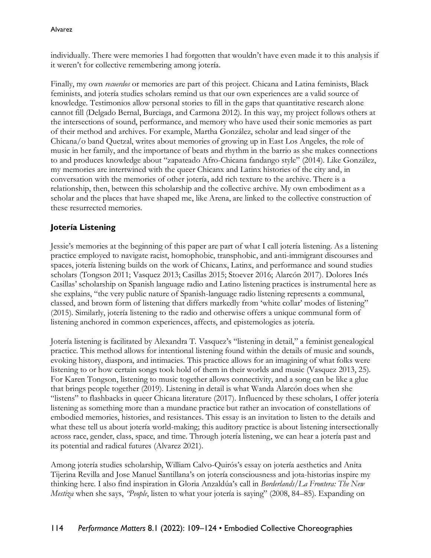individually. There were memories I had forgotten that wouldn't have even made it to this analysis if it weren't for collective remembering among jotería.

Finally, my own *recuerdos* or memories are part of this project. Chicana and Latina feminists, Black feminists, and jotería studies scholars remind us that our own experiences are a valid source of knowledge. Testimonios allow personal stories to fill in the gaps that quantitative research alone cannot fill (Delgado Bernal, Burciaga, and Carmona 2012). In this way, my project follows others at the intersections of sound, performance, and memory who have used their sonic memories as part of their method and archives. For example, Martha González, scholar and lead singer of the Chicana/o band Quetzal, writes about memories of growing up in East Los Angeles, the role of music in her family, and the importance of beats and rhythm in the barrio as she makes connections to and produces knowledge about "zapateado Afro-Chicana fandango style" (2014). Like González, my memories are intertwined with the queer Chicanx and Latinx histories of the city and, in conversation with the memories of other jotería, add rich texture to the archive. There is a relationship, then, between this scholarship and the collective archive. My own embodiment as a scholar and the places that have shaped me, like Arena, are linked to the collective construction of these resurrected memories.

## **Jotería Listening**

Jessie's memories at the beginning of this paper are part of what I call jotería listening. As a listening practice employed to navigate racist, homophobic, transphobic, and anti-immigrant discourses and spaces, jotería listening builds on the work of Chicanx, Latinx, and performance and sound studies scholars (Tongson 2011; Vasquez 2013; Casillas 2015; Stoever 2016; Alarcón 2017). Dolores Inés Casillas' scholarship on Spanish language radio and Latino listening practices is instrumental here as she explains, "the very public nature of Spanish-language radio listening represents a communal, classed, and brown form of listening that differs markedly from 'white collar' modes of listening" (2015). Similarly, jotería listening to the radio and otherwise offers a unique communal form of listening anchored in common experiences, affects, and epistemologies as jotería.

Jotería listening is facilitated by Alexandra T. Vasquez's "listening in detail," a feminist genealogical practice. This method allows for intentional listening found within the details of music and sounds, evoking history, diaspora, and intimacies. This practice allows for an imagining of what folks were listening to or how certain songs took hold of them in their worlds and music (Vasquez 2013, 25). For Karen Tongson, listening to music together allows connectivity, and a song can be like a glue that brings people together (2019). Listening in detail is what Wanda Alarcón does when she "listens" to flashbacks in queer Chicana literature (2017). Influenced by these scholars, I offer jotería listening as something more than a mundane practice but rather an invocation of constellations of embodied memories, histories, and resistances. This essay is an invitation to listen to the details and what these tell us about jotería world-making; this auditory practice is about listening intersectionally across race, gender, class, space, and time. Through jotería listening, we can hear a jotería past and its potential and radical futures (Alvarez 2021).

Among jotería studies scholarship, William Calvo-Quirós's essay on jotería aesthetics and Anita Tijerina Revilla and Jose Manuel Santillana's on jotería consciousness and jota-historias inspire my thinking here. I also find inspiration in Gloria Anzaldúa's call in *Borderlands/La Frontera: The New Mestiza* when she says, *"People*, listen to what your jotería is saying" (2008, 84–85). Expanding on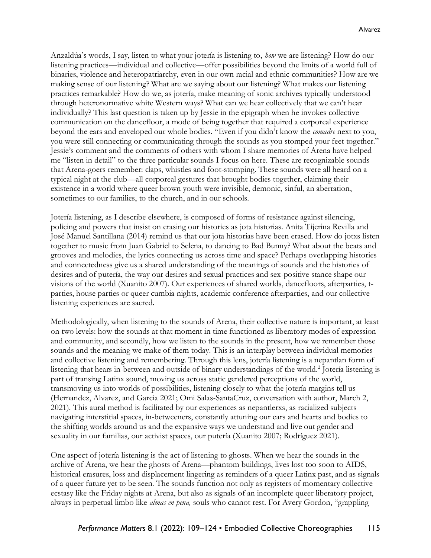Anzaldúa's words, I say, listen to what your jotería is listening to, *how* we are listening? How do our listening practices—individual and collective—offer possibilities beyond the limits of a world full of binaries, violence and heteropatriarchy, even in our own racial and ethnic communities? How are we making sense of our listening? What are we saying about our listening? What makes our listening practices remarkable? How do we, as jotería, make meaning of sonic archives typically understood through heteronormative white Western ways? What can we hear collectively that we can't hear individually? This last question is taken up by Jessie in the epigraph when he invokes collective communication on the dancefloor, a mode of being together that required a corporeal experience beyond the ears and enveloped our whole bodies. "Even if you didn't know the *comadre* next to you, you were still connecting or communicating through the sounds as you stomped your feet together." Jessie's comment and the comments of others with whom I share memories of Arena have helped me "listen in detail" to the three particular sounds I focus on here. These are recognizable sounds that Arena-goers remember: claps, whistles and foot-stomping. These sounds were all heard on a typical night at the club—all corporeal gestures that brought bodies together, claiming their existence in a world where queer brown youth were invisible, demonic, sinful, an aberration, sometimes to our families, to the church, and in our schools.

Jotería listening, as I describe elsewhere, is composed of forms of resistance against silencing, policing and powers that insist on erasing our histories as jota historias. Anita Tijerina Revilla and José Manuel Santillana (2014) remind us that our jota historias have been erased. How do jotxs listen together to music from Juan Gabriel to Selena, to dancing to Bad Bunny? What about the beats and grooves and melodies, the lyrics connecting us across time and space? Perhaps overlapping histories and connectedness give us a shared understanding of the meanings of sounds and the histories of desires and of putería, the way our desires and sexual practices and sex-positive stance shape our visions of the world (Xuanito 2007). Our experiences of shared worlds, dancefloors, afterparties, tparties, house parties or queer cumbia nights, academic conference afterparties, and our collective listening experiences are sacred.

Methodologically, when listening to the sounds of Arena, their collective nature is important, at least on two levels: how the sounds at that moment in time functioned as liberatory modes of expression and community, and secondly, how we listen to the sounds in the present, how we remember those sounds and the meaning we make of them today. This is an interplay between individual memories and collective listening and remembering. Through this lens, jotería listening is a nepantlan form of listening that hears in-between and outside of binary understandings of the world.<sup>2</sup> Jotería listening is part of transing Latinx sound, moving us across static gendered perceptions of the world, transmoving us into worlds of possibilities, listening closely to what the jotería margins tell us (Hernandez, Alvarez, and Garcia 2021; Omi Salas-SantaCruz, conversation with author, March 2, 2021). This aural method is facilitated by our experiences as nepantlerxs, as racialized subjects navigating interstitial spaces, in-betweeners, constantly attuning our ears and hearts and bodies to the shifting worlds around us and the expansive ways we understand and live out gender and sexuality in our familias, our activist spaces, our putería (Xuanito 2007; Rodríguez 2021).

One aspect of jotería listening is the act of listening to ghosts. When we hear the sounds in the archive of Arena, we hear the ghosts of Arena—phantom buildings, lives lost too soon to AIDS, historical erasures, loss and displacement lingering as reminders of a queer Latinx past, and as signals of a queer future yet to be seen. The sounds function not only as registers of momentary collective ecstasy like the Friday nights at Arena, but also as signals of an incomplete queer liberatory project, always in perpetual limbo like *almas en pena,* souls who cannot rest. For Avery Gordon, "grappling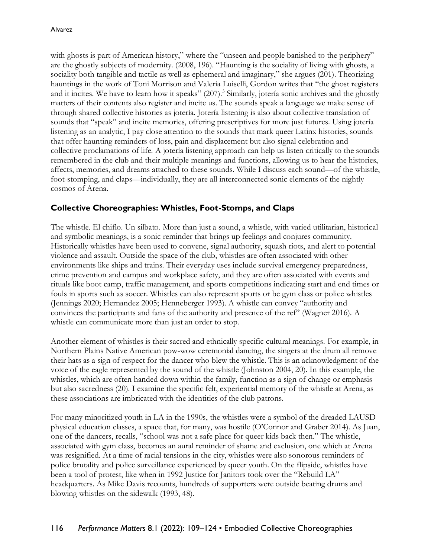with ghosts is part of American history," where the "unseen and people banished to the periphery" are the ghostly subjects of modernity. (2008, 196). "Haunting is the sociality of living with ghosts, a sociality both tangible and tactile as well as ephemeral and imaginary," she argues (201). Theorizing hauntings in the work of Toni Morrison and Valeria Luiselli, Gordon writes that "the ghost registers and it incites. We have to learn how it speaks" (207).<sup>3</sup> Similarly, jotería sonic archives and the ghostly matters of their contents also register and incite us. The sounds speak a language we make sense of through shared collective histories as jotería. Jotería listening is also about collective translation of sounds that "speak" and incite memories, offering prescriptives for more just futures. Using jotería listening as an analytic, I pay close attention to the sounds that mark queer Latinx histories, sounds that offer haunting reminders of loss, pain and displacement but also signal celebration and collective proclamations of life. A jotería listening approach can help us listen critically to the sounds remembered in the club and their multiple meanings and functions, allowing us to hear the histories, affects, memories, and dreams attached to these sounds. While I discuss each sound—of the whistle, foot-stomping, and claps—individually, they are all interconnected sonic elements of the nightly cosmos of Arena.

## **Collective Choreographies: Whistles, Foot-Stomps, and Claps**

The whistle. El chiflo. Un silbato. More than just a sound, a whistle, with varied utilitarian, historical and symbolic meanings, is a sonic reminder that brings up feelings and conjures community. Historically whistles have been used to convene, signal authority, squash riots, and alert to potential violence and assault. Outside the space of the club, whistles are often associated with other environments like ships and trains. Their everyday uses include survival emergency preparedness, crime prevention and campus and workplace safety, and they are often associated with events and rituals like boot camp, traffic management, and sports competitions indicating start and end times or fouls in sports such as soccer. Whistles can also represent sports or be gym class or police whistles (Jennings 2020; Hernandez 2005; Henneberger 1993). A whistle can convey "authority and convinces the participants and fans of the authority and presence of the ref" (Wagner 2016). A whistle can communicate more than just an order to stop.

Another element of whistles is their sacred and ethnically specific cultural meanings. For example, in Northern Plains Native American pow-wow ceremonial dancing, the singers at the drum all remove their hats as a sign of respect for the dancer who blew the whistle. This is an acknowledgment of the voice of the eagle represented by the sound of the whistle (Johnston 2004, 20). In this example, the whistles, which are often handed down within the family, function as a sign of change or emphasis but also sacredness (20). I examine the specific felt, experiential memory of the whistle at Arena, as these associations are imbricated with the identities of the club patrons.

For many minoritized youth in LA in the 1990s, the whistles were a symbol of the dreaded LAUSD physical education classes, a space that, for many, was hostile (O'Connor and Graber 2014). As Juan, one of the dancers, recalls, "school was not a safe place for queer kids back then." The whistle, associated with gym class, becomes an aural reminder of shame and exclusion, one which at Arena was resignified. At a time of racial tensions in the city, whistles were also sonorous reminders of police brutality and police surveillance experienced by queer youth. On the flipside, whistles have been a tool of protest, like when in 1992 Justice for Janitors took over the "Rebuild LA" headquarters. As Mike Davis recounts, hundreds of supporters were outside beating drums and blowing whistles on the sidewalk (1993, 48).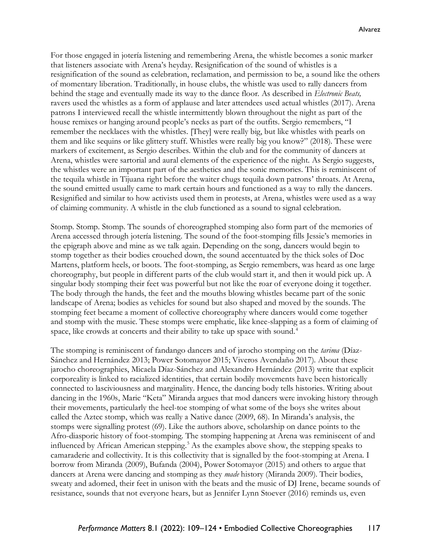For those engaged in jotería listening and remembering Arena, the whistle becomes a sonic marker that listeners associate with Arena's heyday. Resignification of the sound of whistles is a resignification of the sound as celebration, reclamation, and permission to be, a sound like the others of momentary liberation. Traditionally, in house clubs, the whistle was used to rally dancers from behind the stage and eventually made its way to the dance floor. As described in *Electronic Beats,* ravers used the whistles as a form of applause and later attendees used actual whistles (2017). Arena patrons I interviewed recall the whistle intermittently blown throughout the night as part of the house remixes or hanging around people's necks as part of the outfits. Sergio remembers, "I remember the necklaces with the whistles. [They] were really big, but like whistles with pearls on them and like sequins or like glittery stuff. Whistles were really big you know?" (2018). These were markers of excitement, as Sergio describes. Within the club and for the community of dancers at Arena, whistles were sartorial and aural elements of the experience of the night. As Sergio suggests, the whistles were an important part of the aesthetics and the sonic memories. This is reminiscent of the tequila whistle in Tijuana right before the waiter chugs tequila down patrons' throats. At Arena, the sound emitted usually came to mark certain hours and functioned as a way to rally the dancers. Resignified and similar to how activists used them in protests, at Arena, whistles were used as a way of claiming community. A whistle in the club functioned as a sound to signal celebration.

Stomp. Stomp. Stomp. The sounds of choreographed stomping also form part of the memories of Arena accessed through jotería listening. The sound of the foot-stomping fills Jessie's memories in the epigraph above and mine as we talk again. Depending on the song, dancers would begin to stomp together as their bodies crouched down, the sound accentuated by the thick soles of Doc Martens, platform heels, or boots. The foot-stomping, as Sergio remembers, was heard as one large choreography, but people in different parts of the club would start it, and then it would pick up. A singular body stomping their feet was powerful but not like the roar of everyone doing it together. The body through the hands, the feet and the mouths blowing whistles became part of the sonic landscape of Arena; bodies as vehicles for sound but also shaped and moved by the sounds. The stomping feet became a moment of collective choreography where dancers would come together and stomp with the music. These stomps were emphatic, like knee-slapping as a form of claiming of space, like crowds at concerts and their ability to take up space with sound.<sup>4</sup>

The stomping is reminiscent of fandango dancers and of jarocho stomping on the *tarima* (Díaz-Sánchez and Hernández 2013; Power Sotomayor 2015; Viveros Avendaño 2017). About these jarocho choreographies, Micaela Díaz-Sánchez and Alexandro Hernández (2013) write that explicit corporeality is linked to racialized identities, that certain bodily movements have been historically connected to lasciviousness and marginality. Hence, the dancing body tells histories. Writing about dancing in the 1960s, Marie "Keta" Miranda argues that mod dancers were invoking history through their movements, particularly the heel-toe stomping of what some of the boys she writes about called the Aztec stomp, which was really a Native dance (2009, 68). In Miranda's analysis, the stomps were signalling protest (69). Like the authors above, scholarship on dance points to the Afro-diasporic history of foot-stomping. The stomping happening at Arena was reminiscent of and influenced by African American stepping.<sup>5</sup> As the examples above show, the stepping speaks to camaraderie and collectivity. It is this collectivity that is signalled by the foot-stomping at Arena. I borrow from Miranda (2009), Bufanda (2004), Power Sotomayor (2015) and others to argue that dancers at Arena were dancing and stomping as they *made* history (Miranda 2009). Their bodies, sweaty and adorned, their feet in unison with the beats and the music of DJ Irene, became sounds of resistance, sounds that not everyone hears, but as Jennifer Lynn Stoever (2016) reminds us, even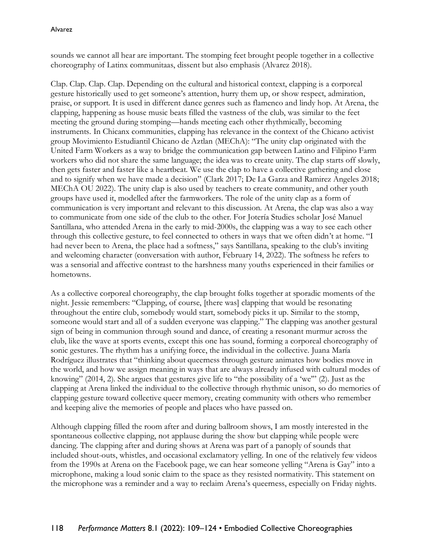sounds we cannot all hear are important. The stomping feet brought people together in a collective choreography of Latinx communitaas, dissent but also emphasis (Alvarez 2018).

Clap. Clap. Clap. Clap. Depending on the cultural and historical context, clapping is a corporeal gesture historically used to get someone's attention, hurry them up, or show respect, admiration, praise, or support. It is used in different dance genres such as flamenco and lindy hop. At Arena, the clapping, happening as house music beats filled the vastness of the club, was similar to the feet meeting the ground during stomping—hands meeting each other rhythmically, becoming instruments. In Chicanx communities, clapping has relevance in the context of the Chicano activist group Movimiento Estudiantil Chicano de Aztlan (MEChA): "The unity clap originated with the United Farm Workers as a way to bridge the communication gap between Latino and Filipino Farm workers who did not share the same language; the idea was to create unity. The clap starts off slowly, then gets faster and faster like a heartbeat. We use the clap to have a collective gathering and close and to signify when we have made a decision" (Clark 2017; De La Garza and Ramirez Angeles 2018; MEChA OU 2022). The unity clap is also used by teachers to create community, and other youth groups have used it, modelled after the farmworkers. The role of the unity clap as a form of communication is very important and relevant to this discussion. At Arena, the clap was also a way to communicate from one side of the club to the other. For Jotería Studies scholar José Manuel Santillana, who attended Arena in the early to mid-2000s, the clapping was a way to see each other through this collective gesture, to feel connected to others in ways that we often didn't at home. "I had never been to Arena, the place had a softness," says Santillana, speaking to the club's inviting and welcoming character (conversation with author, February 14, 2022). The softness he refers to was a sensorial and affective contrast to the harshness many youths experienced in their families or hometowns.

As a collective corporeal choreography, the clap brought folks together at sporadic moments of the night. Jessie remembers: "Clapping, of course, [there was] clapping that would be resonating throughout the entire club, somebody would start, somebody picks it up. Similar to the stomp, someone would start and all of a sudden everyone was clapping." The clapping was another gestural sign of being in communion through sound and dance, of creating a resonant murmur across the club, like the wave at sports events, except this one has sound, forming a corporeal choreography of sonic gestures. The rhythm has a unifying force, the individual in the collective. Juana María Rodríguez illustrates that "thinking about queerness through gesture animates how bodies move in the world, and how we assign meaning in ways that are always already infused with cultural modes of knowing" (2014, 2). She argues that gestures give life to "the possibility of a 'we'" (2). Just as the clapping at Arena linked the individual to the collective through rhythmic unison, so do memories of clapping gesture toward collective queer memory, creating community with others who remember and keeping alive the memories of people and places who have passed on.

Although clapping filled the room after and during ballroom shows, I am mostly interested in the spontaneous collective clapping, not applause during the show but clapping while people were dancing. The clapping after and during shows at Arena was part of a panoply of sounds that included shout-outs, whistles, and occasional exclamatory yelling. In one of the relatively few videos from the 1990s at Arena on the Facebook page, we can hear someone yelling "Arena is Gay" into a microphone, making a loud sonic claim to the space as they resisted normativity. This statement on the microphone was a reminder and a way to reclaim Arena's queerness, especially on Friday nights.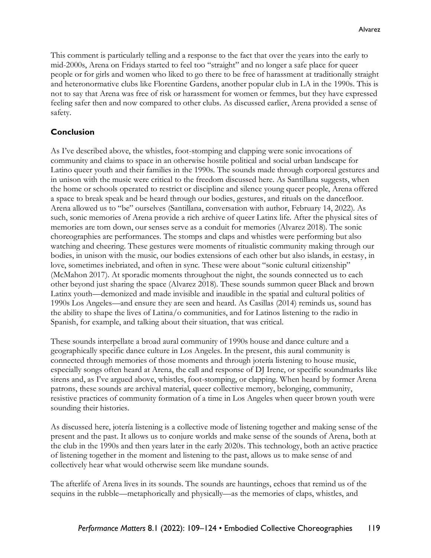This comment is particularly telling and a response to the fact that over the years into the early to mid-2000s, Arena on Fridays started to feel too "straight" and no longer a safe place for queer people or for girls and women who liked to go there to be free of harassment at traditionally straight and heteronormative clubs like Florentine Gardens, another popular club in LA in the 1990s. This is not to say that Arena was free of risk or harassment for women or femmes, but they have expressed feeling safer then and now compared to other clubs. As discussed earlier, Arena provided a sense of safety.

### **Conclusion**

As I've described above, the whistles, foot-stomping and clapping were sonic invocations of community and claims to space in an otherwise hostile political and social urban landscape for Latino queer youth and their families in the 1990s. The sounds made through corporeal gestures and in unison with the music were critical to the freedom discussed here. As Santillana suggests, when the home or schools operated to restrict or discipline and silence young queer people, Arena offered a space to break speak and be heard through our bodies, gestures, and rituals on the dancefloor. Arena allowed us to "be" ourselves (Santillana, conversation with author, February 14, 2022). As such, sonic memories of Arena provide a rich archive of queer Latinx life. After the physical sites of memories are torn down, our senses serve as a conduit for memories (Alvarez 2018). The sonic choreographies are performances. The stomps and claps and whistles were performing but also watching and cheering. These gestures were moments of ritualistic community making through our bodies, in unison with the music, our bodies extensions of each other but also islands, in ecstasy, in love, sometimes inebriated, and often in sync. These were about "sonic cultural citizenship" (McMahon 2017). At sporadic moments throughout the night, the sounds connected us to each other beyond just sharing the space (Alvarez 2018). These sounds summon queer Black and brown Latinx youth—demonized and made invisible and inaudible in the spatial and cultural politics of 1990s Los Angeles—and ensure they are seen and heard. As Casillas (2014) reminds us, sound has the ability to shape the lives of Latina/o communities, and for Latinos listening to the radio in Spanish, for example, and talking about their situation, that was critical.

These sounds interpellate a broad aural community of 1990s house and dance culture and a geographically specific dance culture in Los Angeles. In the present, this aural community is connected through memories of those moments and through jotería listening to house music, especially songs often heard at Arena, the call and response of DJ Irene, or specific soundmarks like sirens and, as I've argued above, whistles, foot-stomping, or clapping. When heard by former Arena patrons, these sounds are archival material, queer collective memory, belonging, community, resistive practices of community formation of a time in Los Angeles when queer brown youth were sounding their histories.

As discussed here, jotería listening is a collective mode of listening together and making sense of the present and the past. It allows us to conjure worlds and make sense of the sounds of Arena, both at the club in the 1990s and then years later in the early 2020s. This technology, both an active practice of listening together in the moment and listening to the past, allows us to make sense of and collectively hear what would otherwise seem like mundane sounds.

The afterlife of Arena lives in its sounds. The sounds are hauntings, echoes that remind us of the sequins in the rubble—metaphorically and physically—as the memories of claps, whistles, and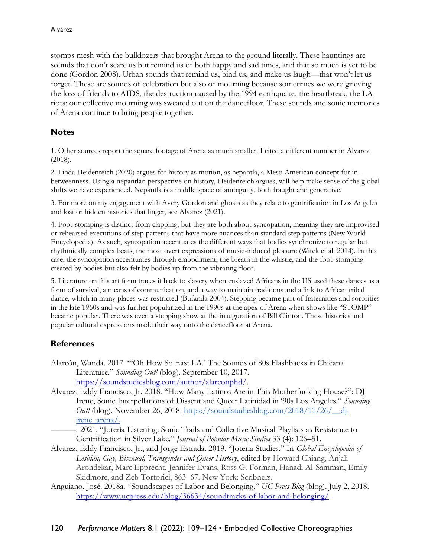stomps mesh with the bulldozers that brought Arena to the ground literally. These hauntings are sounds that don't scare us but remind us of both happy and sad times, and that so much is yet to be done (Gordon 2008). Urban sounds that remind us, bind us, and make us laugh—that won't let us forget. These are sounds of celebration but also of mourning because sometimes we were grieving the loss of friends to AIDS, the destruction caused by the 1994 earthquake, the heartbreak, the LA riots; our collective mourning was sweated out on the dancefloor. These sounds and sonic memories of Arena continue to bring people together.

## **Notes**

1. Other sources report the square footage of Arena as much smaller. I cited a different number in Alvarez (2018).

2. Linda Heidenreich (2020) argues for history as motion, as nepantla, a Meso American concept for inbetweenness. Using a nepantlan perspective on history, Heidenreich argues, will help make sense of the global shifts we have experienced. Nepantla is a middle space of ambiguity, both fraught and generative.

3. For more on my engagement with Avery Gordon and ghosts as they relate to gentrification in Los Angeles and lost or hidden histories that linger, see Alvarez (2021).

4. Foot-stomping is distinct from clapping, but they are both about syncopation, meaning they are improvised or rehearsed executions of step patterns that have more nuances than standard step patterns (New World Encyclopedia). As such, syncopation accentuates the different ways that bodies synchronize to regular but rhythmically complex beats, the most overt expressions of music-induced pleasure (Witek et al. 2014). In this case, the syncopation accentuates through embodiment, the breath in the whistle, and the foot-stomping created by bodies but also felt by bodies up from the vibrating floor.

5. Literature on this art form traces it back to slavery when enslaved Africans in the US used these dances as a form of survival, a means of communication, and a way to maintain traditions and a link to African tribal dance, which in many places was restricted (Bufanda 2004). Stepping became part of fraternities and sororities in the late 1960s and was further popularized in the 1990s at the apex of Arena when shows like "STOMP" became popular. There was even a stepping show at the inauguration of Bill Clinton. These histories and popular cultural expressions made their way onto the dancefloor at Arena.

## **References**

- Alarcón, Wanda. 2017. "'Oh How So East LA.' The Sounds of 80s Flashbacks in Chicana Literature." *Sounding Out!* (blog). September 10, 2017. [https://soundstudiesblog.com/author/alarconphd/.](https://soundstudiesblog.com/author/alarconphd/)
- Alvarez, Eddy Francisco, Jr. 2018. "How Many Latinos Are in This Motherfucking House?": DJ Irene, Sonic Interpellations of Dissent and Queer Latinidad in '90s Los Angeles." *Sounding Out!* (blog). November 26, 2018. [https://soundstudiesblog.com/2018/11/26/\\_\\_dj](https://soundstudiesblog.com/2018/11/26/__dj-irene_arena/)[irene\\_arena/.](https://soundstudiesblog.com/2018/11/26/__dj-irene_arena/)

———. 2021. "Jotería Listening: Sonic Trails and Collective Musical Playlists as Resistance to Gentrification in Silver Lake." *Journal of Popular Music Studies* 33 (4): 126–51.

- Alvarez, Eddy Francisco, Jr., and Jorge Estrada. 2019. "Joteria Studies." In *Global Encyclopedia of Lesbian, Gay, Bisexual, Transgender and Queer History*, edited by Howard Chiang, Anjali Arondekar, Marc Epprecht, Jennifer Evans, Ross G. Forman, Hanadi Al-Samman, Emily Skidmore, and Zeb Tortorici, 863–67. New York: Scribners.
- Anguiano, José. 2018a. "Soundscapes of Labor and Belonging." *UC Press Blog* (blog). July 2, 2018. [https://www.ucpress.edu/blog/36634/soundtracks-of-labor-and-belonging/.](https://www.ucpress.edu/blog/36634/soundtracks-of-labor-and-belonging/)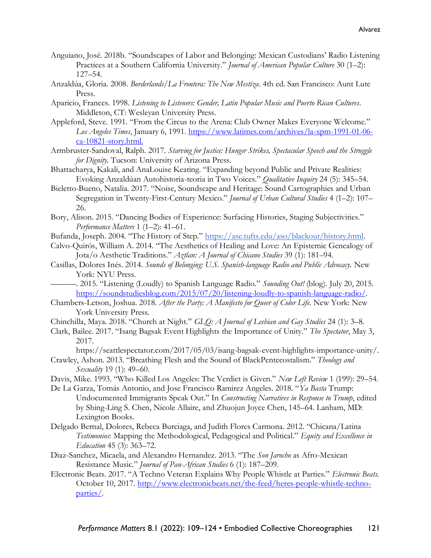- Anguiano, José. 2018b. "Soundscapes of Labor and Belonging: Mexican Custodians' Radio Listening Practices at a Southern California University." *Journal of American Popular Culture* 30 (1–2): 127–54.
- Anzaldúa, Gloria. 2008. *Borderlands/La Frontera: The New Mestiza*. 4th ed. San Francisco: Aunt Lute Press.
- Aparicio, Frances. 1998. *Listening to Listeners: Gender, Latin Popular Music and Puerto Rican Cultures*. Middleton, CT: Wesleyan University Press.
- Appleford, Steve. 1991. "From the Circus to the Arena: Club Owner Makes Everyone Welcome." *Los Angeles Times*, January 6, 1991. [https://www.latimes.com/archives/la-xpm-1991-01-06](https://www.latimes.com/archives/la-xpm-1991-01-06-ca-10821-story.html) [ca-10821-story.html.](https://www.latimes.com/archives/la-xpm-1991-01-06-ca-10821-story.html)
- Armbruster-Sandoval, Ralph. 2017. *Starving for Justice: Hunger Strikes, Spectacular Speech and the Struggle for Dignity*. Tucson: University of Arizona Press.
- Bhattacharya, Kakali, and AnaLouise Keating. "Expanding beyond Public and Private Realities: Evoking Anzaldúan Autohistoria-teoria in Two Voices." *Qualitative Inquiry* 24 (5): 345–54.
- Bieletto-Bueno, Natalia. 2017. "Noise, Soundscape and Heritage: Sound Cartographies and Urban Segregation in Twenty-First-Century Mexico." *Journal of Urban Cultural Studies* 4 (1–2): 107– 26.
- Bory, Alison. 2015. "Dancing Bodies of Experience: Surfacing Histories, Staging Subjectivities." *Performance Matters* 1 (1–2): 41–61.
- Bufanda, Joseph. 2004. "The History of Step." [https://ase.tufts.edu/aso/blackout/history.html.](https://ase.tufts.edu/aso/blackout/history.html)
- Calvo-Quirós, William A. 2014. "The Aesthetics of Healing and Love: An Epistemic Genealogy of Jota/o Aesthetic Traditions." *Aztlan: A Journal of Chicano Studies* 39 (1): 181–94.
- Casillas, Dolores Inés. 2014. *Sounds of Belonging: U.S. Spanish-language Radio and Public Advocacy.* New York: NYU Press.
- ———. 2015. "Listening (Loudly) to Spanish Language Radio." *Sounding Out!* (blog)*.* July 20, 2015. [https://soundstudiesblog.com/2015/07/20/listening-loudly-to-spanish-language-radio/.](https://soundstudiesblog.com/2015/07/20/listening-loudly-to-spanish-language-radio/)
- Chambers-Letson, Joshua. 2018. *After the Party: A Manifesto for Queer of Color Life*. New York: New York University Press.
- Chinchilla, Maya. 2018. "Church at Night." *GLQ: A Journal of Lesbian and Gay Studies* 24 (1): 3–8.
- Clark, Bailee. 2017. "Isang Bagsak Event Highlights the Importance of Unity." *The Spectator*, May 3, 2017.

https://seattlespectator.com/2017/05/03/isang-bagsak-event-highlights-importance-unity/. Crawley, Ashon. 2013. "Breathing Flesh and the Sound of BlackPentecostalism." *Theology and* 

- *Sexuality* 19 (1): 49–60.
- Davis, Mike. 1993. "Who Killed Los Angeles: The Verdict is Given." *New Left Review* 1 (199): 29–54.
- De La Garza, Tomás Antonio, and Jose Francisco Ramirez Angeles. 2018. "*Ya Basta* Trump: Undocumented Immigrants Speak Out." In *Constructing Narratives in Response to Trump*, edited by Shing-Ling S. Chen, Nicole Allaire, and Zhuojun Joyce Chen, 145–64. Lanham, MD: Lexington Books.
- Delgado Bernal, Dolores, Rebeca Burciaga, and Judith Flores Carmona. 2012. "Chicana/Latina *Testimonios*: Mapping the Methodological, Pedagogical and Political." *Equity and Excellence in Education* 45 (3): 363–72.
- Diaz-Sanchez, Micaela, and Alexandro Hernandez. 2013. "The *Son Jarocho* as Afro-Mexican Resistance Music." *Journal of Pan-African Studies* 6 (1): 187–209.
- Electronic Beats. 2017. "A Techno Veteran Explains Why People Whistle at Parties." *Electronic Beats*. October 10, 2017. [http://www.electronicbeats.net/the-feed/heres-people-whistle-techno](http://www.electronicbeats.net/the-feed/heres-people-whistle-techno-parties/)[parties/.](http://www.electronicbeats.net/the-feed/heres-people-whistle-techno-parties/)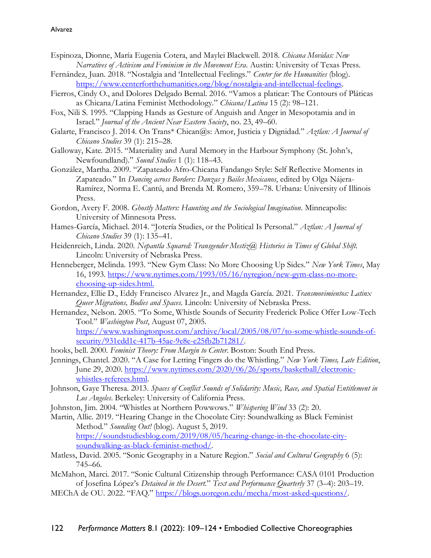- Espinoza, Dionne, María Eugenia Cotera, and Maylei Blackwell. 2018. *Chicana Movidas: New Narratives of Activism and Feminism in the Movement Era*. Austin: University of Texas Press.
- Fernández, Juan. 2018. "Nostalgia and 'Intellectual Feelings." *Center for the Humanities* (blog). [https://www.centerforthehumanities.org/blog/nostalgia-and-intellectual-feelings.](https://www.centerforthehumanities.org/blog/nostalgia-and-intellectual-feelings)
- Fierros, Cindy O., and Dolores Delgado Bernal. 2016. "Vamos a platicar: The Contours of Pláticas as Chicana/Latina Feminist Methodology." *Chicana/Latina* 15 (2): 98–121.
- Fox, Nili S. 1995. "Clapping Hands as Gesture of Anguish and Anger in Mesopotamia and in Israel." *Journal of the Ancient Near Eastern Society*, no. 23, 49–60.
- Galarte, Francisco J. 2014. On Trans\* Chican@s: Amor, Justicia y Dignidad." *Aztlan: A Journal of Chicano Studies* 39 (1): 215–28.
- Galloway, Kate. 2015. "Materiality and Aural Memory in the Harbour Symphony (St. John's, Newfoundland)." *Sound Studies* 1 (1): 118–43.
- González, Martha. 2009. "Zapateado Afro-Chicana Fandango Style: Self Reflective Moments in Zapateado." In *Dancing across Borders: Danzas y Bailes Mexicanos*, edited by Olga Nájera-Ramírez, Norma E. Cantú, and Brenda M. Romero, 359–78. Urbana: University of Illinois Press.
- Gordon, Avery F. 2008. *Ghostly Matters: Haunting and the Sociological Imagination*. Minneapolis: University of Minnesota Press.
- Hames-García, Michael. 2014. "Jotería Studies, or the Political Is Personal." *Aztlan: A Journal of Chicano Studies* 39 (1): 135–41.
- Heidenreich, Linda. 2020. *Nepantla Squared: Transgender Mestiz@ Histories in Times of Global Shift.*  Lincoln: University of Nebraska Press.
- Henneberger, Melinda. 1993. "New Gym Class: No More Choosing Up Sides." *New York Times*, May 16, 1993. [https://www.nytimes.com/1993/05/16/nyregion/new-gym-class-no-more](https://www.nytimes.com/1993/05/16/nyregion/new-gym-class-no-more-choosing-up-sides.html)[choosing-up-sides.html.](https://www.nytimes.com/1993/05/16/nyregion/new-gym-class-no-more-choosing-up-sides.html)
- Hernandez, Ellie D., Eddy Francisco Alvarez Jr., and Magda García. 2021. *Transmovimientos: Latinx Queer Migrations, Bodies and Spaces*. Lincoln: University of Nebraska Press.
- Hernandez, Nelson. 2005. "To Some, Whistle Sounds of Security Frederick Police Offer Low-Tech Tool." *Washington Post*, August 07, 2005.

[https://www.washingtonpost.com/archive/local/2005/08/07/to-some-whistle-sounds-of](https://www.washingtonpost.com/archive/local/2005/08/07/to-some-whistle-sounds-of-security/931cdd1c-417b-45ae-9e8e-e25fb2b71281/)[security/931cdd1c-417b-45ae-9e8e-e25fb2b71281/.](https://www.washingtonpost.com/archive/local/2005/08/07/to-some-whistle-sounds-of-security/931cdd1c-417b-45ae-9e8e-e25fb2b71281/)

- hooks, bell. 2000. *Feminist Theory: From Margin to Center*. Boston: South End Press.
- Jennings, Chantel. 2020. "A Case for Letting Fingers do the Whistling." *New York Times, Late Edition*, June 29, 2020. [https://www.nytimes.com/2020/06/26/sports/basketball/electronic](https://www.nytimes.com/2020/06/26/sports/basketball/electronic-whistles-referees.html)[whistles-referees.html.](https://www.nytimes.com/2020/06/26/sports/basketball/electronic-whistles-referees.html)
- Johnson, Gaye Theresa. 2013. *Spaces of Conflict Sounds of Solidarity: Music, Race, and Spatial Entitlement in Los Angeles*. Berkeley: University of California Press.
- Johnston, Jim. 2004. "Whistles at Northern Powwows." *Whispering Wind* 33 (2): 20*.*
- Martin, Allie. 2019. "Hearing Change in the Chocolate City: Soundwalking as Black Feminist Method." *Sounding Out!* (blog)*.* August 5, 2019. [https://soundstudiesblog.com/2019/08/05/hearing-change-in-the-chocolate-city](https://soundstudiesblog.com/2019/08/05/hearing-change-in-the-chocolate-city-soundwalking-as-black-feminist-method/)[soundwalking-as-black-feminist-method/.](https://soundstudiesblog.com/2019/08/05/hearing-change-in-the-chocolate-city-soundwalking-as-black-feminist-method/)
- Matless, David. 2005. "Sonic Geography in a Nature Region." *Social and Cultural Geography* 6 (5): 745–66.
- McMahon, Marci. 2017. "Sonic Cultural Citizenship through Performance: CASA 0101 Production of Josefina López's *Detained in the Desert*." *Text and Performance Quarterly* 37 (3–4): 203–19.
- MEChA de OU. 2022. "FAQ." [https://blogs.uoregon.edu/mecha/most-asked-questions/.](https://blogs.uoregon.edu/mecha/most-asked-questions/)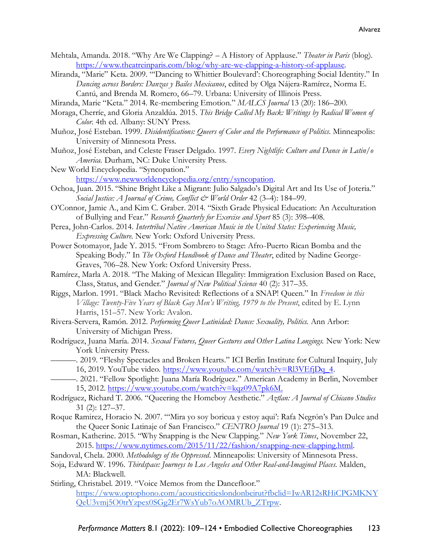- Mehtala, Amanda. 2018. "Why Are We Clapping? A History of Applause." *Theater in Paris* (blog). [https://www.theatreinparis.com/blog/why-are-we-clapping-a-history-of-applause.](https://www.theatreinparis.com/blog/why-are-we-clapping-a-history-of-applause)
- Miranda, "Marie" Keta. 2009. "'Dancing to Whittier Boulevard': Choreographing Social Identity." In *Dancing across Borders: Danzas y Bailes Mexicanos*, edited by Olga Nájera-Ramírez, Norma E. Cantú, and Brenda M. Romero, 66–79. Urbana: University of Illinois Press.
- Miranda, Marie "Keta." 2014. Re-membering Emotion." *MALCS Journal* 13 (20): 186–200.
- Moraga, Cherríe, and Gloria Anzaldúa. 2015. *This Bridge Called My Back: Writings by Radical Women of Color*. 4th ed. Albany: SUNY Press.
- Muñoz, José Esteban. 1999. *Disidentifications: Queers of Color and the Performance of Politics*. Minneapolis: University of Minnesota Press.
- Muñoz, José Esteban, and Celeste Fraser Delgado. 1997. *Every Nightlife: Culture and Dance in Latin/o America.* Durham, NC: Duke University Press.
- New World Encyclopedia. "Syncopation." [https://www.newworldencyclopedia.org/entry/syncopation.](https://www.newworldencyclopedia.org/entry/syncopation)
- Ochoa, Juan. 2015. "Shine Bright Like a Migrant: Julio Salgado's Digital Art and Its Use of Joteria." *Social Justice: A Journal of Crime, Conflict & World Order* 42 (3–4): 184–99.
- O'Connor, Jamie A., and Kim C. Graber. 2014. "Sixth Grade Physical Education: An Acculturation of Bullying and Fear." *Research Quarterly for Exercise and Sport* 85 (3): 398–408.
- Perea, John-Carlos. 2014. *Intertribal Native American Music in the United States: Experiencing Music, Expressing Culture*. New York: Oxford University Press.
- Power Sotomayor, Jade Y. 2015. "From Sombrero to Stage: Afro-Puerto Rican Bomba and the Speaking Body." In *The Oxford Handbook of Dance and Theater*, edited by Nadine George-Graves, 706–28. New York: Oxford University Press.
- Ramírez, Marla A. 2018. "The Making of Mexican Illegality: Immigration Exclusion Based on Race, Class, Status, and Gender." *Journal of New Political Science* 40 (2): 317–35.
- Riggs, Marlon. 1991. "Black Macho Revisited: Reflections of a SNAP! Queen." In *Freedom in this Village: Twenty-Five Years of Black Gay Men's Writing, 1979 to the Present*, edited by E. Lynn Harris, 151–57. New York: Avalon.
- Rivera-Servera, Ramón. 2012. *Performing Queer Latinidad: Dance: Sexuality, Politics.* Ann Arbor: University of Michigan Press.
- Rodríguez, Juana María. 2014. *Sexual Futures, Queer Gestures and Other Latina Longings.* New York: New York University Press.
- ———. 2019. "Fleshy Spectacles and Broken Hearts." ICI Berlin Institute for Cultural Inquiry, July 16, 2019. YouTube video. [https://www.youtube.com/watch?v=Rl3VEfjDq\\_4.](https://www.youtube.com/watch?v=Rl3VEfjDq_4)
- ———. 2021. "Fellow Spotlight: Juana María Rodríguez." American Academy in Berlin, November 15, 2012. [https://www.youtube.com/watch?v=kqz09A7pk6M.](https://www.youtube.com/watch?v=kqz09A7pk6M)
- Rodríguez, Richard T. 2006. "Queering the Homeboy Aesthetic." *Aztlan: A Journal of Chicano Studies* 31 (2): 127–37.
- Roque Ramirez, Horacio N. 2007. "'Mira yo soy boricua y estoy aqui': Rafa Negrón's Pan Dulce and the Queer Sonic Latinaje of San Francisco." *CENTRO Journal* 19 (1): 275–313.
- Rosman, Katherine. 2015. "Why Snapping is the New Clapping." *New York Times*, November 22, 2015. [https://www.nytimes.com/2015/11/22/fashion/snapping-new-clapping.html.](https://www.nytimes.com/2015/11/22/fashion/snapping-new-clapping.html)
- Sandoval, Chela. 2000. *Methodology of the Oppressed*. Minneapolis: University of Minnesota Press.
- Soja, Edward W. 1996. *Thirdspace: Journeys to Los Angeles and Other Real-and-Imagined Places*. Malden, MA: Blackwell.
- Stirling, Christabel. 2019. "Voice Memos from the Dancefloor." [https://www.optophono.com/acousticcitieslondonbeirut?fbclid=IwAR12sRHiCPGMKNY](https://www.optophono.com/acousticcitieslondonbeirut?fbclid=IwAR12sRHiCPGMKNYQeU3vmj5O0trYzpex0SGg2Er7WsYub7oAOMRUb_ZTrpw) [QeU3vmj5O0trYzpex0SGg2Er7WsYub7oAOMRUb\\_ZTrpw.](https://www.optophono.com/acousticcitieslondonbeirut?fbclid=IwAR12sRHiCPGMKNYQeU3vmj5O0trYzpex0SGg2Er7WsYub7oAOMRUb_ZTrpw)